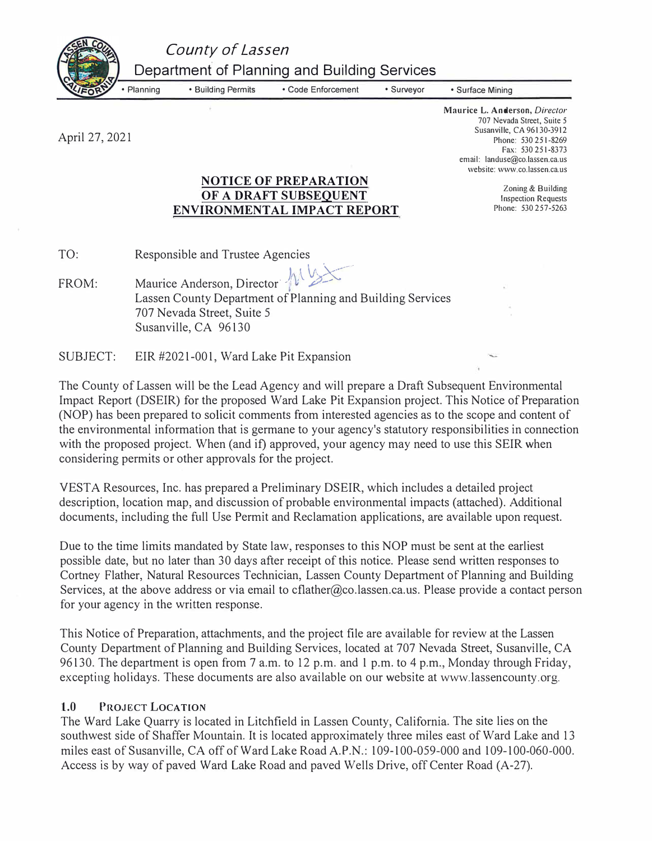*County of Lassen* 

• Planning • Building Permits • Code Enforcement • Surveyor

• Surface Mining

April 27, 2021

**Maurice L. Anderson,** *Director*  707 Nevada Street, Suite 5 Susanville, CA 96130-3912 Phone: 530 251-8269 Fax: 530 251-8373 email: landuse@co.lassen.ca.us website: www.co.lassen.ca.us

> Zoning & Building Inspection Requests Phone: 530 257-5263

# **NOTICE OF PREPARATION OF A DRAFT SUBSEQUENT ENVIRONMENTAL IMPACT REPORT**

Department of Planning and Building Services

| TO: | Responsible and Trustee Agencies |
|-----|----------------------------------|
|     |                                  |

FROM: Maurice Anderson, Director<sup>1</sup> Lassen County Department of Planning and Building Services 707 Nevada Street, Suite 5 Susanville, CA 96130

SUBJECT: EIR #2021-001, Ward Lake Pit Expansion

The County of Lassen will be the Lead Agency and will prepare a Draft Subsequent Environmental Impact Report (DSEIR) for the proposed Ward Lake Pit Expansion project. This Notice of Preparation (NOP) has been prepared to solicit comments from interested agencies as to the scope and content of the environmental information that is germane to your agency's statutory responsibilities in connection with the proposed project. When (and if) approved, your agency may need to use this SEIR when considering permits or other approvals for the project.

VESTA Resources, Inc. has prepared a Preliminary DSEIR, which includes a detailed project description, location map, and discussion of probable environmental impacts (attached). Additional documents, including the full Use Permit and Reclamation applications, are available upon request.

Due to the time limits mandated by State law, responses to this NOP must be sent at the earliest possible date, but no later than 30 days after receipt of this notice. Please send written responses to Cortney Flather, Natural Resources Technician, Lassen County Department of Planning and Building Services, at the above address or via email to cflather@co.lassen.ca.us. Please provide a contact person for your agency in the written response.

This Notice of Preparation, attachments, and the project file are available for review at the Lassen County Department of Planning and Building Services, located at 707 Nevada Street, Susanville, CA 96130. The department is open from 7 a.m. to 12 p.m. and 1 p.m. to 4 p.m., Monday through Friday, excepting holidays. These documents are also available on our website at www.lassencounty.org.

# **1.0 PROJECT LOCATION**

The Ward Lake Quarry is located in Litchfield in Lassen County, California. The site lies on the southwest side of Shaffer Mountain. It is located approximately three miles east of Ward Lake and 13 miles east of Susanville, CA off of Ward Lake Road A.P.N.: 109-100-059-000 and 109-100-060-000. Access is by way of paved Ward Lake Road and paved Wells Drive, off Center Road (A-27).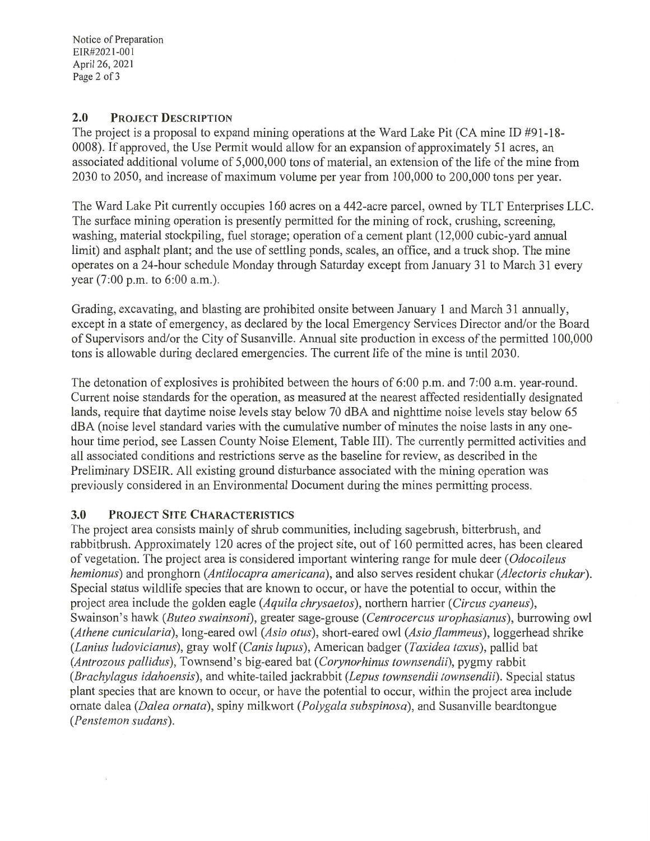Notice of Preparation EIR#2021-001 April 26, 2021 Page 2 of 3

#### $2.0$ **PROJECT DESCRIPTION**

The project is a proposal to expand mining operations at the Ward Lake Pit (CA mine ID #91-18-0008). If approved, the Use Permit would allow for an expansion of approximately 51 acres, an associated additional volume of 5,000,000 tons of material, an extension of the life of the mine from 2030 to 2050, and increase of maximum volume per year from 100,000 to 200,000 tons per year.

The Ward Lake Pit currently occupies 160 acres on a 442-acre parcel, owned by TLT Enterprises LLC. The surface mining operation is presently permitted for the mining of rock, crushing, screening, washing, material stockpiling, fuel storage; operation of a cement plant (12,000 cubic-yard annual limit) and asphalt plant; and the use of settling ponds, scales, an office, and a truck shop. The mine operates on a 24-hour schedule Monday through Saturday except from January 31 to March 31 every year (7:00 p.m. to 6:00 a.m.).

Grading, excavating, and blasting are prohibited onsite between January 1 and March 31 annually, except in a state of emergency, as declared by the local Emergency Services Director and/or the Board of Supervisors and/or the City of Susanville. Annual site production in excess of the permitted 100,000 tons is allowable during declared emergencies. The current life of the mine is until 2030.

The detonation of explosives is prohibited between the hours of  $6:00$  p.m. and  $7:00$  a.m. year-round. Current noise standards for the operation, as measured at the nearest affected residentially designated lands, require that daytime noise levels stay below 70 dBA and nighttime noise levels stay below 65 dBA (noise level standard varies with the cumulative number of minutes the noise lasts in any onehour time period, see Lassen County Noise Element, Table III). The currently permitted activities and all associated conditions and restrictions serve as the baseline for review, as described in the Preliminary DSEIR. All existing ground disturbance associated with the mining operation was previously considered in an Environmental Document during the mines permitting process.

#### $3.0$ PROJECT SITE CHARACTERISTICS

The project area consists mainly of shrub communities, including sagebrush, bitterbrush, and rabbitbrush. Approximately 120 acres of the project site, out of 160 permitted acres, has been cleared of vegetation. The project area is considered important wintering range for mule deer (Odocoileus hemionus) and pronghorn (Antilocapra americana), and also serves resident chukar (Alectoris chukar). Special status wildlife species that are known to occur, or have the potential to occur, within the project area include the golden eagle (Aquila chrysaetos), northern harrier (Circus cyaneus), Swainson's hawk (Buteo swainsoni), greater sage-grouse (Centrocercus urophasianus), burrowing owl (Athene cunicularia), long-eared owl (Asio otus), short-eared owl (Asio flammeus), loggerhead shrike (Lanius ludovicianus), gray wolf (Canis lupus), American badger (Taxidea taxus), pallid bat (Antrozous pallidus), Townsend's big-eared bat (Corynorhinus townsendii), pygmy rabbit (Brachylagus idahoensis), and white-tailed jackrabbit (Lepus townsendii townsendii). Special status plant species that are known to occur, or have the potential to occur, within the project area include ornate dalea (Dalea ornata), spiny milkwort (Polygala subspinosa), and Susanville beardtongue (Penstemon sudans).